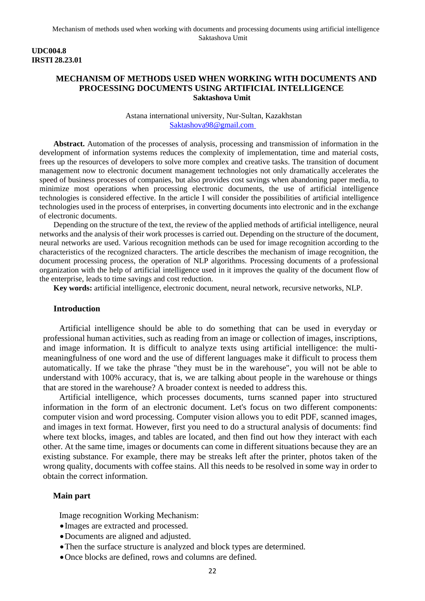### **UDC004.8 IRSTI 28.23.01**

# **MECHANISM OF METHODS USED WHEN WORKING WITH DOCUMENTS AND PROCESSING DOCUMENTS USING ARTIFICIAL INTELLIGENCE Saktashova Umit**

### Astana international university, Nur-Sultan, Kazakhstan [Saktashova98@gmail.com](mailto:Saktashova98@gmail.com)

**Abstract.** Automation of the processes of analysis, processing and transmission of information in the development of information systems reduces the complexity of implementation, time and material costs, frees up the resources of developers to solve more complex and creative tasks. The transition of document management now to electronic document management technologies not only dramatically accelerates the speed of business processes of companies, but also provides cost savings when abandoning paper media, to minimize most operations when processing electronic documents, the use of artificial intelligence technologies is considered effective. In the article I will consider the possibilities of artificial intelligence technologies used in the process of enterprises, in converting documents into electronic and in the exchange of electronic documents.

Depending on the structure of the text, the review of the applied methods of artificial intelligence, neural networks and the analysis of their work processes is carried out. Depending on the structure of the document, neural networks are used. Various recognition methods can be used for image recognition according to the characteristics of the recognized characters. The article describes the mechanism of image recognition, the document processing process, the operation of NLP algorithms. Processing documents of a professional organization with the help of artificial intelligence used in it improves the quality of the document flow of the enterprise, leads to time savings and cost reduction.

**Key words:** artificial intelligence, electronic document, neural network, recursive networks, NLP.

#### **Introduction**

Artificial intelligence should be able to do something that can be used in everyday or professional human activities, such as reading from an image or collection of images, inscriptions, and image information. It is difficult to analyze texts using artificial intelligence: the multimeaningfulness of one word and the use of different languages make it difficult to process them automatically. If we take the phrase "they must be in the warehouse", you will not be able to understand with 100% accuracy, that is, we are talking about people in the warehouse or things that are stored in the warehouse? A broader context is needed to address this.

Artificial intelligence, which processes documents, turns scanned paper into structured information in the form of an electronic document. Let's focus on two different components: computer vision and word processing. Computer vision allows you to edit PDF, scanned images, and images in text format. However, first you need to do a structural analysis of documents: find where text blocks, images, and tables are located, and then find out how they interact with each other. At the same time, images or documents can come in different situations because they are an existing substance. For example, there may be streaks left after the printer, photos taken of the wrong quality, documents with coffee stains. All this needs to be resolved in some way in order to obtain the correct information.

### **Main part**

Image recognition Working Mechanism:

- •Images are extracted and processed.
- •Documents are aligned and adjusted.
- •Then the surface structure is analyzed and block types are determined.
- •Once blocks are defined, rows and columns are defined.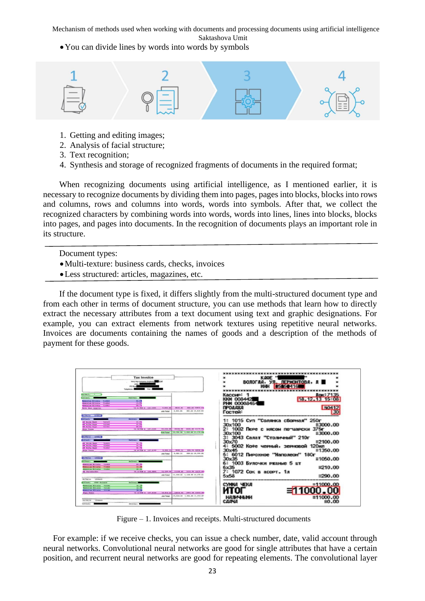Saktashova Umit

•You can divide lines by words into words by symbols



- 1. Getting and editing images;
- 2. Analysis of facial structure;
- 3. Text recognition;
- 4. Synthesis and storage of recognized fragments of documents in the required format;

When recognizing documents using artificial intelligence, as I mentioned earlier, it is necessary to recognize documents by dividing them into pages, pages into blocks, blocks into rows and columns, rows and columns into words, words into symbols. After that, we collect the recognized characters by combining words into words, words into lines, lines into blocks, blocks into pages, and pages into documents. In the recognition of documents plays an important role in its structure.

Document types:

- •Multi-texture: business cards, checks, invoices
- •Less structured: articles, magazines, etc.

If the document type is fixed, it differs slightly from the multi-structured document type and from each other in terms of document structure, you can use methods that learn how to directly extract the necessary attributes from a text document using text and graphic designations. For example, you can extract elements from network textures using repetitive neural networks. Invoices are documents containing the names of goods and a description of the methods of payment for these goods.



Figure – 1. Invoices and receipts. Multi-structured documents

For example: if we receive checks, you can issue a check number, date, valid account through neural networks. Convolutional neural networks are good for single attributes that have a certain position, and recurrent neural networks are good for repeating elements. The convolutional layer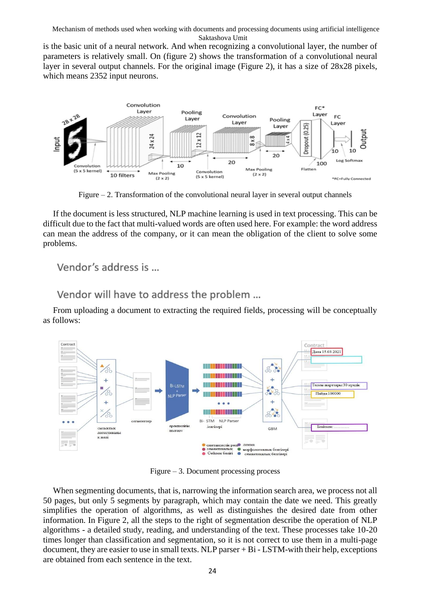is the basic unit of a neural network. And when recognizing a convolutional layer, the number of parameters is relatively small. On (figure 2) shows the transformation of a convolutional neural layer in several output channels. For the original image (Figure 2), it has a size of 28x28 pixels, which means 2352 input neurons.



Figure  $-2$ . Transformation of the convolutional neural layer in several output channels

If the document is less structured, NLP machine learning is used in text processing. This can be difficult due to the fact that multi-valued words are often used here. For example: the word address can mean the address of the company, or it can mean the obligation of the client to solve some problems.

Vendor's address is ...

Vendor will have to address the problem ...

From uploading a document to extracting the required fields, processing will be conceptually as follows:



Figure – 3. Document processing process

When segmenting documents, that is, narrowing the information search area, we process not all 50 pages, but only 5 segments by paragraph, which may contain the date we need. This greatly simplifies the operation of algorithms, as well as distinguishes the desired date from other information. In Figure 2, all the steps to the right of segmentation describe the operation of NLP algorithms - a detailed study, reading, and understanding of the text. These processes take 10-20 times longer than classification and segmentation, so it is not correct to use them in a multi-page document, they are easier to use in small texts. NLP parser + Bi - LSTM-with their help, exceptions are obtained from each sentence in the text.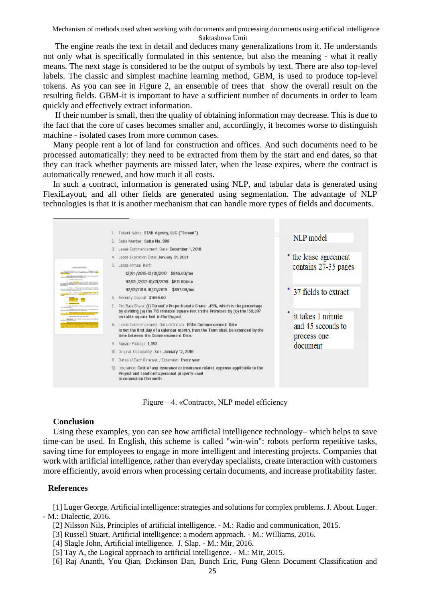The engine reads the text in detail and deduces many generalizations from it. He understands not only what is specifically formulated in this sentence, but also the meaning - what it really means. The next stage is considered to be the output of symbols by text. There are also top-level labels. The classic and simplest machine learning method, GBM, is used to produce top-level tokens. As you can see in Figure 2, an ensemble of trees that show the overall result on the resulting fields. GBM-it is important to have a sufficient number of documents in order to learn quickly and effectively extract information.

If their number is small, then the quality of obtaining information may decrease. This is due to the fact that the core of cases becomes smaller and, accordingly, it becomes worse to distinguish machine - isolated cases from more common cases.

Many people rent a lot of land for construction and offices. And such documents need to be processed automatically: they need to be extracted from them by the start and end dates, so that they can track whether payments are missed later, when the lease expires, where the contract is automatically renewed, and how much it all costs.

In such a contract, information is generated using NLP, and tabular data is generated using FlexiLayout, and all other fields are generated using segmentation. The advantage of NLP technologies is that it is another mechanism that can handle more types of fields and documents.



Figure – 4. «Contract», NLP model efficiency

### **Conclusion**

Using these examples, you can see how artificial intelligence technology– which helps to save time-can be used. In English, this scheme is called "win-win": robots perform repetitive tasks, saving time for employees to engage in more intelligent and interesting projects. Companies that work with artificial intelligence, rather than everyday specialists, create interaction with customers more efficiently, avoid errors when processing certain documents, and increase profitability faster.

### **References**

[1] Luger George, Artificial intelligence: strategies and solutions for complex problems. J. About. Luger. - M.: Dialectic, 2016.

- [2] Nilsson Nils, Principles of artificial intelligence. M.: Radio and communication, 2015.
- [3] Russell Stuart, Artificial intelligence: a modern approach. M.: Williams, 2016.
- [4] Slagle John, Artificial intelligence. J. Slap. M.: Mir, 2016.
- [5] Tay A, the Logical approach to artificial intelligence. M.: Mir, 2015.
- [6] Raj Ananth, You Qian, Dickinson Dan, Bunch Eric, Fung Glenn Document Classification and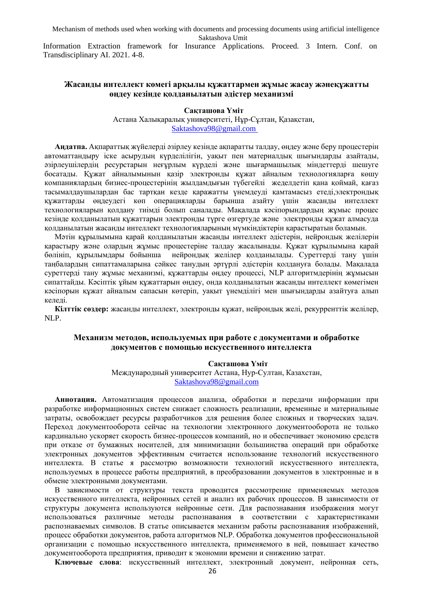Information Extraction framework for Insurance Applications. Proceed. 3 Intern. Conf. on Transdisciplinary AI. 2021. 4-8.

# **Жасанды интеллект көмегі арқылы құжаттармен жұмыс жасау жәнеқұжатты өңдеу кезінде қолданылатын әдістер механизмі**

#### **Сақташова Үміт**

Астана Халықаралық университеті, Нұр-Сұлтан, Қазақстан, [Saktashova98@gmail.com](mailto:Saktashova98@gmail.com)

**Аңдатпа.** Ақпараттық жүйелерді әзірлеу кезінде ақпаратты талдау, өңдеу және беру процестерін автоматтандыру іске асырудың күрделілігін, уақыт пен материалдық шығындарды азайтады, әзірлеушілердің ресурстарын неғұрлым күрделі және шығармашылық міндеттерді шешуге босатады. Құжат айналымынын қазір электронды құжат айналым технологияларға көшу компаниялардың бизнес-процестерінің жылдамдығын түбегейлі жеделдетіп қана қоймай, қағаз тасымалдаушылардан бас тартқан кезде қаражатты үнемдеуді қамтамасыз етеді,электрондық құжаттарды өңдеудегі көп операцияларды барынша азайту үшін жасанды интеллект технологияларын қолдану тиімді болып саналады. Мақалада кәсіпорындардың жұмыс процес кезінде қолданылатын құжаттарын электронды түрге өзгертуде және электронды құжат алмасуда қолданылатын жасанды интеллект технологияларының мүмкіндіктерін қарастыратын боламын.

Мәтін құрылымына қарай қолданылатын жасанды интеллект әдістерін, нейрондық желілерін қарастыру және олардың жұмыс процестеріне талдау жасалынады. Құжат құрылымына қарай бөлініп, құрылымдары бойынша нейрондық желілер қолданылады. Суреттерді тану үшін таңбалардың сипаттамаларына сәйкес танудың әртүрлі әдістерін қолдануға болады. Мақалада суреттерді тану жұмыс механизмі, құжаттарды өңдеу процессі, NLP алгоритмдерінің жұмысын сипаттайды. Кәсіптік ұйым құжаттарын өңдеу, онда қолданылатын жасанды интеллект көмегімен кәсіпорын құжат айналым сапасын көтеріп, уақыт үнемділігі мен шығындарды азайтуға алып келеді.

**Кілттік сөздер:** жасанды интеллект, электронды құжат, нейрондық желі, рекурренттік желілер, NLP.

# **Механизм методов, используемых при работе с документами и обработке документов с помощью искусственного интеллекта**

#### **Сақташова Үміт**

Международный университет Астана, Нур-Султан, Казахстан, [Saktashova98@gmail.com](mailto:Saktashova98@gmail.com)

**Аннотация.** Автоматизация процессов анализа, обработки и передачи информации при разработке информационных систем снижает сложность реализации, временные и материальные затраты, освобождает ресурсы разработчиков для решения более сложных и творческих задач. Переход документооборота сейчас на технологии электронного документооборота не только кардинально ускоряет скорость бизнес-процессов компаний, но и обеспечивает экономию средств при отказе от бумажных носителей, для минимизации большинства операций при обработке электронных документов эффективным считается использование технологий искусственного интеллекта. В статье я рассмотрю возможности технологий искусственного интеллекта, используемых в процессе работы предприятий, в преобразовании документов в электронные и в обмене электронными документами.

В зависимости от структуры текста проводится рассмотрение применяемых методов искусственного интеллекта, нейронных сетей и анализ их рабочих процессов. В зависимости от структуры документа используются нейронные сети. Для распознавания изображения могут использоваться различные методы распознавания в соответствии с характеристиками распознаваемых символов. В статье описывается механизм работы распознавания изображений, процесс обработки документов, работа алгоритмов NLP. Обработка документов профессиональной организации с помощью искусственного интеллекта, применяемого в ней, повышает качество документооборота предприятия, приводит к экономии времени и снижению затрат.

**Ключевые слова**: искусственный интеллект, электронный документ, нейронная сеть,

26